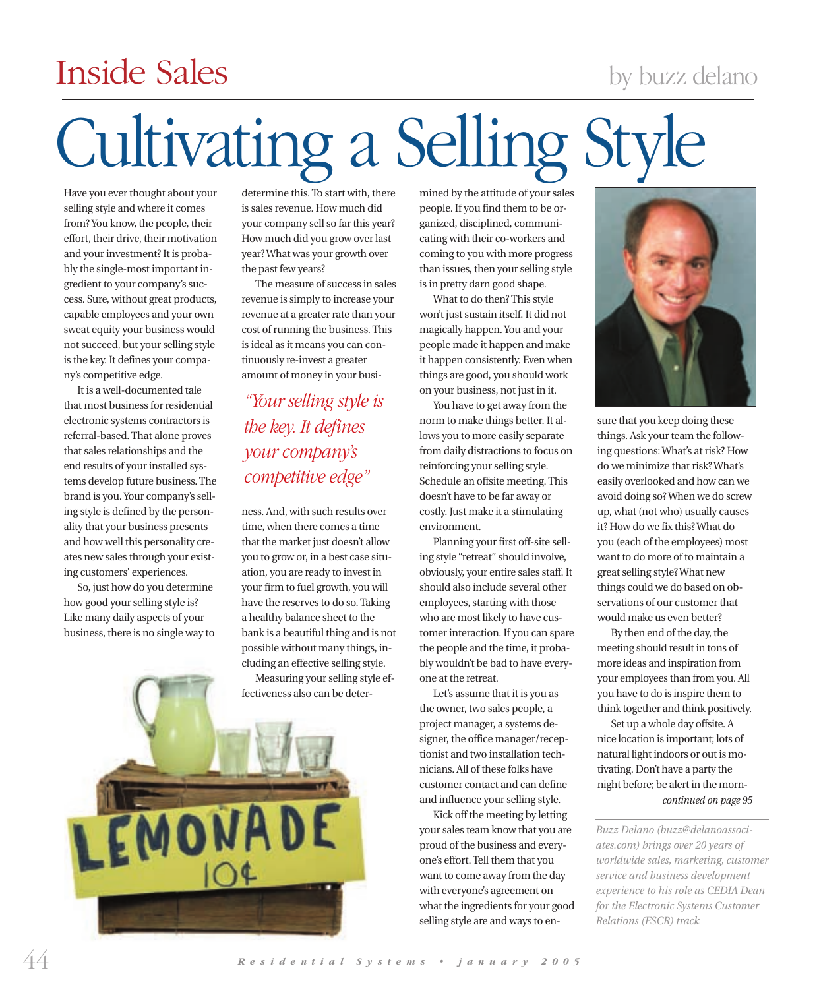## by buzz delano

## Inside Sales

# Cultivating a Selling Style

Have you ever thought about your selling style and where it comes from? You know, the people, their effort, their drive, their motivation and your investment? It is probably the single-most important ingredient to your company's success. Sure, without great products, capable employees and your own sweat equity your business would not succeed, but your selling style is the key. It defines your company's competitive edge.

It is a well-documented tale that most business for residential electronic systems contractors is referral-based. That alone proves that sales relationships and the end results of your installed systems develop future business. The brand is you. Your company's selling style is defined by the personality that your business presents and how well this personality creates new sales through your existing customers' experiences.

So, just how do you determine how good your selling style is? Like many daily aspects of your business, there is no single way to

determine this. To start with, there is sales revenue. How much did your company sell so far this year? How much did you grow over last year? What was your growth over the past few years?

The measure of success in sales revenue is simply to increase your revenue at a greater rate than your cost of running the business. This is ideal as it means you can continuously re-invest a greater amount of money in your busi-

*"Your selling style is the key. It defines your company's competitive edge"*

ness. And, with such results over time, when there comes a time that the market just doesn't allow you to grow or, in a best case situation, you are ready to invest in your firm to fuel growth, you will have the reserves to do so. Taking a healthy balance sheet to the bank is a beautiful thing and is not possible without many things, including an effective selling style. Measuring your selling style ef-

fectiveness also can be deter-



mined by the attitude of your sales people. If you find them to be organized, disciplined, communicating with their co-workers and coming to you with more progress than issues, then your selling style is in pretty darn good shape.

What to do then? This style won't just sustain itself. It did not magically happen. You and your people made it happen and make it happen consistently. Even when things are good, you should work on your business, not just in it.

You have to get away from the norm to make things better. It allows you to more easily separate from daily distractions to focus on reinforcing your selling style. Schedule an offsite meeting. This doesn't have to be far away or costly. Just make it a stimulating environment.

Planning your first off-site selling style "retreat" should involve, obviously, your entire sales staff. It should also include several other employees, starting with those who are most likely to have customer interaction. If you can spare the people and the time, it probably wouldn't be bad to have everyone at the retreat.

Let's assume that it is you as the owner, two sales people, a project manager, a systems designer, the office manager/receptionist and two installation technicians. All of these folks have customer contact and can define and influence your selling style.

Kick off the meeting by letting your sales team know that you are proud of the business and everyone's effort. Tell them that you want to come away from the day with everyone's agreement on what the ingredients for your good selling style are and ways to en-



sure that you keep doing these things. Ask your team the following questions: What's at risk? How do we minimize that risk? What's easily overlooked and how can we avoid doing so? When we do screw up, what (not who) usually causes it? How do we fix this? What do you (each of the employees) most want to do more of to maintain a great selling style? What new things could we do based on observations of our customer that would make us even better?

By then end of the day, the meeting should result in tons of more ideas and inspiration from your employees than from you. All you have to do is inspire them to think together and think positively.

Set up a whole day offsite. A nice location is important; lots of natural light indoors or out is motivating. Don't have a party the night before; be alert in the morn*continued on page 95*

*Buzz Delano (buzz@delanoassociates.com) brings over 20 years of worldwide sales, marketing, customer service and business development experience to his role as CEDIA Dean for the Electronic Systems Customer Relations (ESCR) track*